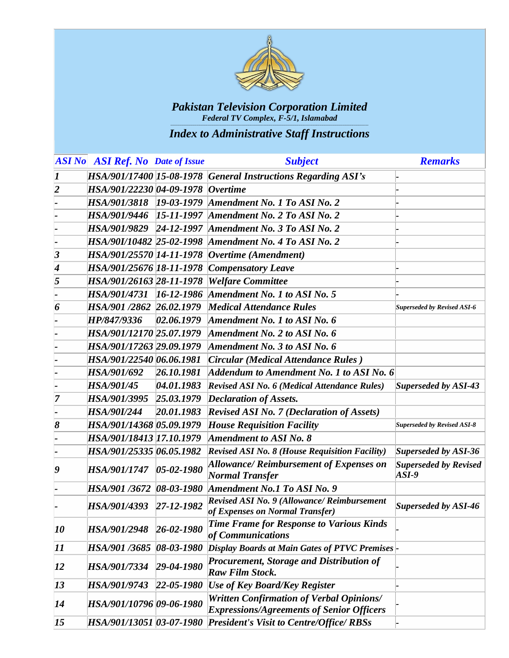

|                            | <b>ASI No ASI Ref.</b> No Date of Issue |                    | <b>Subject</b>                                                                               | <b>Remarks</b>                          |
|----------------------------|-----------------------------------------|--------------------|----------------------------------------------------------------------------------------------|-----------------------------------------|
| $\boldsymbol{I}$           |                                         |                    | HSA/901/17400 15-08-1978 General Instructions Regarding ASI's                                |                                         |
| $\overline{\mathbf{2}}$    | HSA/901/22230 04-09-1978                |                    | $Overtime$                                                                                   |                                         |
|                            | <i>HSA/901/3818</i>                     | $19 - 03 - 1979$   | Amendment No. 1 To ASI No. 2                                                                 |                                         |
|                            | <i>HSA/901/9446</i>                     | $15 - 11 - 1997$   | Amendment No. 2 To ASI No. 2                                                                 |                                         |
|                            | <i>HSA/901/9829</i>                     | $24 - 12 - 1997$   | Amendment No. 3 To ASI No. 2                                                                 |                                         |
|                            | HSA/90I/10482 25-02-1998                |                    | Amendment No. 4 To ASI No. 2                                                                 |                                         |
| $\vert 3 \vert$            | HSA/901/25570 14-11-1978                |                    | Overtime (Amendment)                                                                         |                                         |
| 4                          | HSA/901/25676 18-11-1978                |                    | <b>Compensatory Leave</b>                                                                    |                                         |
| 5                          | HSA/901/26163 28-11-1978                |                    | <b>Welfare Committee</b>                                                                     |                                         |
|                            | <i>HSA/901/4731</i>                     | $16 - 12 - 1986$   | Amendment No. 1 to ASI No. 5                                                                 |                                         |
| 6                          | HSA/901 /2862 26.02.1979                |                    | <b>Medical Attendance Rules</b>                                                              | <b>Superseded by Revised ASI-6</b>      |
|                            | HP/847/9336                             | 02.06.1979         | Amendment No. 1 to ASI No. 6                                                                 |                                         |
|                            | HSA/901/12170 25.07.1979                |                    | Amendment No. 2 to ASI No. 6                                                                 |                                         |
|                            | HSA/901/17263 29.09.1979                |                    | Amendment No. 3 to ASI No. 6                                                                 |                                         |
|                            | HSA/901/22540 06.06.1981                |                    | Circular (Medical Attendance Rules)                                                          |                                         |
|                            | HSA/901/692                             | 26.10.1981         | $Addendum$ to Amendment No. 1 to ASI No. 6                                                   |                                         |
|                            | HSA/901/45                              | 04.01.1983         | <b>Revised ASI No. 6 (Medical Attendance Rules)</b>                                          | Superseded by ASI-43                    |
| 7                          | <b>HSA/901/3995</b>                     | 25.03.1979         | <b>Declaration of Assets.</b>                                                                |                                         |
|                            | <b>HSA/90I/244</b>                      | 20.01.1983         | <b>Revised ASI No. 7 (Declaration of Assets)</b>                                             |                                         |
| 8                          | HSA/901/14368 05.09.1979                |                    | <b>House Requisition Facility</b>                                                            | <b>Superseded by Revised ASI-8</b>      |
|                            | HSA/901/18413 17.10.1979                |                    | <b>Amendment to ASI No. 8</b>                                                                |                                         |
|                            | HSA/901/25335 06.05.1982                |                    | <b>Revised ASI No. 8 (House Requisition Facility)</b>                                        | Superseded by ASI-36                    |
| 9                          | <b>HSA/901/1747</b>                     | $05 - 02 - 1980$   | <b>Allowance/ Reimbursement of Expenses on</b><br><b>Normal Transfer</b>                     | <b>Superseded by Revised</b><br>$ASI-9$ |
|                            | HSA/901 /3672  08-03-1980               |                    | Amendment No.1 To ASI No. 9                                                                  |                                         |
|                            | HSA/901/4393 27-12-1982                 |                    | <b>Revised ASI No. 9 (Allowance/ Reimbursement</b><br>of Expenses on Normal Transfer)        | Superseded by ASI-46                    |
| 10                         | HSA/901/2948 26-02-1980                 |                    | <b>Time Frame for Response to Various Kinds</b><br>of Communications                         |                                         |
| $\boldsymbol{\mathit{11}}$ | HSA/901 /3685  08-03-1980               |                    | Display Boards at Main Gates of PTVC Premises                                                |                                         |
| 12                         | HSA/901/7334                            | $29 - 04 - 1980$   | Procurement, Storage and Distribution of<br><b>Raw Film Stock.</b>                           |                                         |
| 13                         | HSA/901/9743                            | $ 22 - 05 - 1980 $ | <b>Use of Key Board/Key Register</b>                                                         |                                         |
| 14                         | HSA/901/10796  09-06-1980               |                    | Written Confirmation of Verbal Opinions/<br><b>Expressions/Agreements of Senior Officers</b> |                                         |
| <b>15</b>                  | HSA/901/13051  03-07-1980               |                    | President's Visit to Centre/Office/RBSs                                                      |                                         |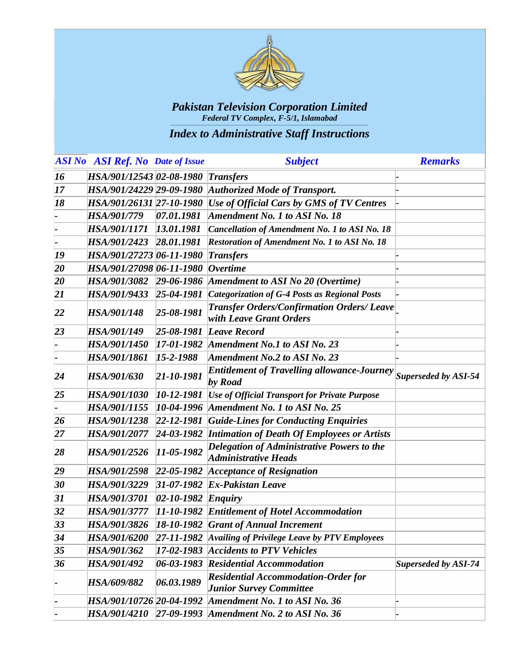

|    | <b>ASI No</b> ASI Ref. No Date of Issue |                                   | <b>Subject</b>                                                               | <b>Remarks</b>              |
|----|-----------------------------------------|-----------------------------------|------------------------------------------------------------------------------|-----------------------------|
| 16 | HSA/901/12543 02-08-1980                |                                   | <i>Transfers</i>                                                             |                             |
| 17 | HSA/901/24229 29-09-1980                |                                   | <b>Authorized Mode of Transport.</b>                                         |                             |
| 18 | HSA/901/26131 27-10-1980                |                                   | Use of Official Cars by GMS of TV Centres                                    |                             |
|    | <b>HSA/901/779</b>                      | 07.01.1981                        | Amendment No. 1 to ASI No. 18                                                |                             |
|    | <i>HSA/901/1171</i>                     | 13.01.1981                        | <b>Cancellation of Amendment No. 1 to ASI No. 18</b>                         |                             |
|    | HSA/901/2423                            | 28.01.1981                        | <b>Restoration of Amendment No. 1 to ASI No. 18</b>                          |                             |
| 19 | HSA/901/27273 06-11-1980                |                                   | Transfers                                                                    |                             |
| 20 | HSA/901/27098 06-11-1980                |                                   | $Overtime$                                                                   |                             |
| 20 | <b>HSA/901/3082</b>                     | $29 - 06 - 1986$                  | Amendment to ASI No 20 (Overtime)                                            |                             |
| 21 | HSA/901/9433                            | $25 - 04 - 1981$                  | <b>Categorization of G-4 Posts as Regional Posts</b>                         |                             |
| 22 | HSA/901/148                             | $25 - 08 - 1981$                  | <b>Transfer Orders/Confirmation Orders/ Leave</b><br>with Leave Grant Orders |                             |
| 23 | HSA/901/149                             | $25 - 08 - 1981$                  | Leave Record                                                                 |                             |
|    | HSA/901/1450                            |                                   | $17-01-1982$ Amendment No.1 to ASI No. 23                                    |                             |
|    | HSA/901/1861                            | $15 - 2 - 1988$                   | <b>Amendment No.2 to ASI No. 23</b>                                          |                             |
| 24 | HSA/901/630                             | $21 - 10 - 1981$                  | Entitlement of Travelling allowance-Journey Superseded by ASI-54<br>by Road  |                             |
| 25 | HSA/901/1030                            | $10 - 12 - 1981$                  | <b>Use of Official Transport for Private Purpose</b>                         |                             |
|    | HSA/901/1155                            | $10-04-1996$                      | Amendment No. 1 to ASI No. 25                                                |                             |
| 26 | HSA/901/1238                            | $ 22 - 12 - 1981 $                | <b>Guide-Lines for Conducting Enquiries</b>                                  |                             |
| 27 | HSA/901/2077                            | $24-03-1982$                      | <b>Intimation of Death Of Employees or Artists</b>                           |                             |
| 28 | HSA/901/2526                            | $11 - 05 - 1982$                  | Delegation of Administrative Powers to the<br><b>Administrative Heads</b>    |                             |
| 29 | HSA/901/2598                            |                                   | $22-05-1982$ Acceptance of Resignation                                       |                             |
| 30 | HSA/901/3229                            |                                   | $31-07-1982$ Ex-Pakistan Leave                                               |                             |
| 31 | <b>HSA/901/3701</b>                     | $ 02 - 10 - 1982 $ <i>Enquiry</i> |                                                                              |                             |
| 32 | <b>HSA/901/3777</b>                     |                                   | [11-10-1982 Entitlement of Hotel Accommodation                               |                             |
| 33 |                                         |                                   | HSA/901/3826   18-10-1982 Grant of Annual Increment                          |                             |
| 34 | <i>HSA/901/6200</i>                     | $ 27-11-1982 $                    | Availing of Privilege Leave by PTV Employees                                 |                             |
| 35 | HSA/901/362                             | $17 - 02 - 1983$                  | <b>Accidents to PTV Vehicles</b>                                             |                             |
| 36 | HSA/901/492                             | $06 - 03 - 1983$                  | <b>Residential Accommodation</b>                                             | <b>Superseded by ASI-74</b> |
|    | HSA/609/882                             | 06.03.1989                        | <b>Residential Accommodation-Order for</b><br><b>Junior Survey Committee</b> |                             |
|    | HSA/901/10726 20-04-1992                |                                   | Amendment No. 1 to ASI No. 36                                                |                             |
|    |                                         |                                   | HSA/901/4210 27-09-1993 Amendment No. 2 to ASI No. 36                        |                             |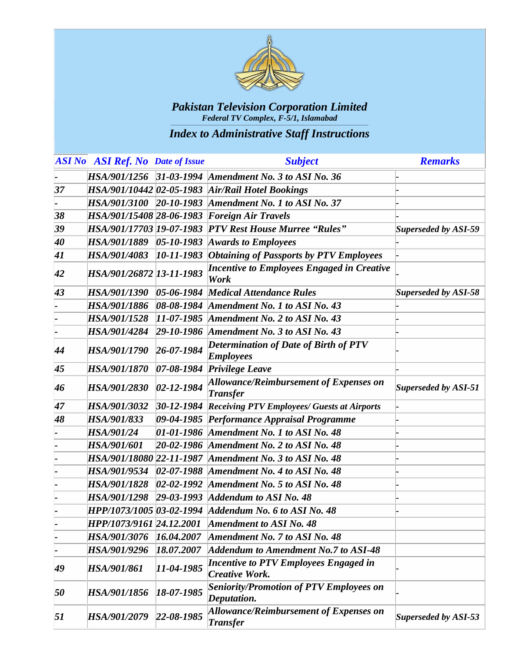

|    | <b>ASI No</b> ASI Ref. No Date of Issue |                  | <b>Subject</b>                                                   | <b>Remarks</b>              |
|----|-----------------------------------------|------------------|------------------------------------------------------------------|-----------------------------|
|    | HSA/901/1256                            |                  | $31-03-1994$ Amendment No. 3 to ASI No. 36                       |                             |
| 37 |                                         |                  | HSA/901/10442 02-05-1983 Air/Rail Hotel Bookings                 |                             |
|    | <i>HSA/901/3100</i>                     | $20 - 10 - 1983$ | Amendment No. 1 to ASI No. 37                                    |                             |
| 38 | HSA/901/15408 28-06-1983                |                  | <b>Foreign Air Travels</b>                                       |                             |
| 39 | HSA/901/17703 19-07-1983                |                  | <b>PTV Rest House Murree "Rules"</b>                             | Superseded by ASI-59        |
| 40 | HSA/901/1889                            | $05 - 10 - 1983$ | <b>Awards to Employees</b>                                       |                             |
| 41 | HSA/901/4083                            | $10 - 11 - 1983$ | <b>Obtaining of Passports by PTV Employees</b>                   |                             |
| 42 | HSA/901/26872 13-11-1983                |                  | <b>Incentive to Employees Engaged in Creative</b><br>Work        |                             |
| 43 | <b>HSA/901/1390</b>                     | $05 - 06 - 1984$ | <b>Medical Attendance Rules</b>                                  | <b>Superseded by ASI-58</b> |
|    | HSA/901/1886                            |                  | 08-08-1984 Amendment No. 1 to ASI No. 43                         |                             |
|    | HSA/901/1528                            | $11-07-1985$     | Amendment No. 2 to ASI No. 43                                    |                             |
|    | HSA/901/4284                            | $29 - 10 - 1986$ | Amendment No. 3 to ASI No. 43                                    |                             |
| 44 | <b>HSA/901/1790</b>                     | $26 - 07 - 1984$ | Determination of Date of Birth of PTV<br><b>Employees</b>        |                             |
| 45 | <b>HSA/901/1870</b>                     |                  | 07-08-1984 Privilege Leave                                       |                             |
| 46 | HSA/901/2830                            | $02 - 12 - 1984$ | <b>Allowance/Reimbursement of Expenses on</b><br><b>Transfer</b> | Superseded by ASI-51        |
| 47 | HSA/901/3032                            | $30 - 12 - 1984$ | <b>Receiving PTV Employees/ Guests at Airports</b>               |                             |
| 48 | HSA/901/833                             |                  | 09-04-1985 Performance Appraisal Programme                       |                             |
|    | HSA/901/24                              |                  | 01-01-1986 Amendment No. 1 to ASI No. 48                         |                             |
|    | HSA/901/601                             |                  | 20-02-1986 Amendment No. 2 to ASI No. 48                         |                             |
|    |                                         |                  | HSA/901/18080 22-11-1987 Amendment No. 3 to ASI No. 48           |                             |
|    | <i>HSA/901/9534</i>                     |                  | 02-07-1988 Amendment No. 4 to ASI No. 48                         |                             |
|    | HSA/901/1828                            |                  | 02-02-1992 Amendment No. 5 to ASI No. 48                         |                             |
|    | HSA/901/1298                            |                  | $29-03-1993$ Addendum to ASI No. 48                              |                             |
|    |                                         |                  | HPP/1073/1005 03-02-1994 Addendum No. 6 to ASI No. 48            |                             |
|    | HPP/1073/9161 24.12.2001                |                  | Amendment to ASI No. 48                                          |                             |
|    | <b>HSA/901/3076</b>                     | 16.04.2007       | Amendment No. 7 to ASI No. 48                                    |                             |
|    | HSA/901/9296                            | 18.07.2007       | <b>Addendum to Amendment No.7 to ASI-48</b>                      |                             |
| 49 | HSA/901/861                             | $11 - 04 - 1985$ | Incentive to PTV Employees Engaged in<br><b>Creative Work.</b>   |                             |
| 50 | <i>HSA/901/1856</i>                     | $18 - 07 - 1985$ | <b>Seniority/Promotion of PTV Employees on</b><br>Deputation.    |                             |
| 51 | HSA/901/2079                            | $22 - 08 - 1985$ | <b>Allowance/Reimbursement of Expenses on</b><br><b>Transfer</b> | Superseded by ASI-53        |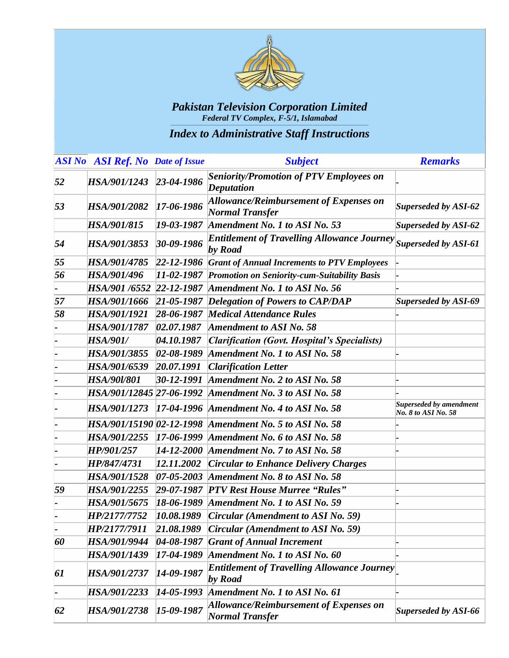

|    | <b>ASI No ASI Ref.</b> No Date of Issue |                    | <b>Subject</b>                                                          | <b>Remarks</b>                                 |
|----|-----------------------------------------|--------------------|-------------------------------------------------------------------------|------------------------------------------------|
| 52 | HSA/901/1243                            | $23 - 04 - 1986$   | <b>Seniority/Promotion of PTV Employees on</b><br><b>Deputation</b>     |                                                |
| 53 | HSA/901/2082                            | 17-06-1986         | <b>Allowance/Reimbursement of Expenses on</b><br><b>Normal Transfer</b> | <b>Superseded by ASI-62</b>                    |
|    | HSA/901/815                             | 19-03-1987         | Amendment No. 1 to ASI No. 53                                           | Superseded by ASI-62                           |
| 54 | HSA/901/3853                            | $30 - 09 - 1986$   | <b>Entitlement of Travelling Allowance Journey</b><br>by Road           | Superseded by ASI-61                           |
| 55 | HSA/901/4785                            | $ 22 - 12 - 1986 $ | <b>Grant of Annual Increments to PTV Employees</b>                      |                                                |
| 56 | HSA/901/496                             | $11 - 02 - 1987$   | Promotion on Seniority-cum-Suitability Basis                            |                                                |
|    | HSA/901/6552                            | $22 - 12 - 1987$   | Amendment No. 1 to ASI No. 56                                           |                                                |
| 57 | HSA/901/1666                            | $21 - 05 - 1987$   | <b>Delegation of Powers to CAP/DAP</b>                                  | <b>Superseded by ASI-69</b>                    |
| 58 | HSA/901/1921                            | $28 - 06 - 1987$   | <b>Medical Attendance Rules</b>                                         |                                                |
|    | <b>HSA/901/1787</b>                     | 02.07.1987         | <b>Amendment to ASI No. 58</b>                                          |                                                |
|    | <b>HSA/901/</b>                         | 04.10.1987         | <b>Clarification (Govt. Hospital's Specialists)</b>                     |                                                |
|    | HSA/901/3855                            | $02 - 08 - 1989$   | Amendment No. 1 to ASI No. 58                                           |                                                |
|    | HSA/901/6539                            | 20.07.1991         | <b>Clarification Letter</b>                                             |                                                |
|    | <b>HSA/90l/801</b>                      | $30 - 12 - 1991$   | Amendment No. 2 to ASI No. 58                                           |                                                |
|    | HSA/901/12845 27-06-1992                |                    | Amendment No. 3 to ASI No. 58                                           |                                                |
|    | HSA/901/1273                            | $17-04-1996$       | Amendment No. 4 to ASI No. 58                                           | Superseded by amendment<br>No. 8 to ASI No. 58 |
|    | HSA/901/15190 02-12-1998                |                    | Amendment No. 5 to ASI No. 58                                           |                                                |
|    | HSA/901/2255                            | $17 - 06 - 1999$   | Amendment No. 6 to ASI No. 58                                           |                                                |
|    | HP/901/257                              | $14 - 12 - 2000$   | Amendment No. 7 to ASI No. 58                                           |                                                |
|    | HP/847/4731                             | 12.11.2002         | <b>Circular to Enhance Delivery Charges</b>                             |                                                |
|    | HSA/901/1528                            | $07 - 05 - 2003$   | Amendment No. 8 to ASI No. 58                                           |                                                |
| 59 | HSA/901/2255                            | $29 - 07 - 1987$   | <b>PTV Rest House Murree "Rules"</b>                                    |                                                |
|    | HSA/901/5675                            | 18-06-1989         | Amendment No. 1 to ASI No. 59                                           |                                                |
|    | HP/2177/7752                            | 10.08.1989         | Circular (Amendment to ASI No. 59)                                      |                                                |
|    | HP/2177/7911                            | 21.08.1989         | Circular (Amendment to ASI No. 59)                                      |                                                |
| 60 | HSA/901/9944                            | $04 - 08 - 1987$   | <b>Grant of Annual Increment</b>                                        |                                                |
|    | HSA/901/1439                            | $17-04-1989$       | Amendment No. 1 to ASI No. 60                                           |                                                |
| 61 | HSA/901/2737                            | $14 - 09 - 1987$   | <b>Entitlement of Travelling Allowance Journey</b><br>by Road           |                                                |
|    | HSA/901/2233                            | 14-05-1993         | Amendment No. 1 to ASI No. 61                                           |                                                |
| 62 | HSA/901/2738                            | $15 - 09 - 1987$   | <b>Allowance/Reimbursement of Expenses on</b><br><b>Normal Transfer</b> | Superseded by ASI-66                           |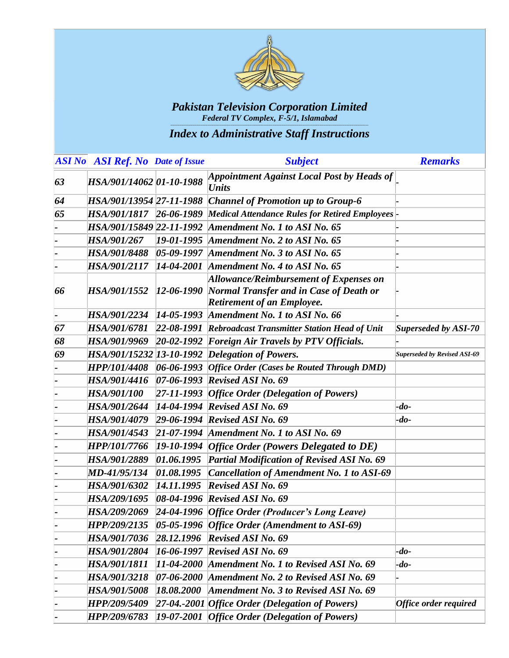

|    | <b>ASI No ASI Ref.</b> No Date of Issue |                  | <b>Subject</b>                                                                                                                       | <b>Remarks</b>                      |
|----|-----------------------------------------|------------------|--------------------------------------------------------------------------------------------------------------------------------------|-------------------------------------|
| 63 | HSA/901/14062 01-10-1988                |                  | Appointment Against Local Post by Heads of<br><b>Units</b>                                                                           |                                     |
| 64 | HSA/901/13954 27-11-1988                |                  | <b>Channel of Promotion up to Group-6</b>                                                                                            |                                     |
| 65 | HSA/901/1817 26-06-1989                 |                  | Medical Attendance Rules for Retired Employees                                                                                       |                                     |
|    | HSA/901/15849 22-11-1992                |                  | Amendment No. 1 to ASI No. 65                                                                                                        |                                     |
|    | HSA/901/267                             |                  | 19-01-1995 Amendment No. 2 to ASI No. 65                                                                                             |                                     |
|    | <b>HSA/901/8488</b>                     | $05-09-1997$     | Amendment No. 3 to ASI No. 65                                                                                                        |                                     |
|    | HSA/901/2117                            | $14-04-2001$     | Amendment No. 4 to ASI No. 65                                                                                                        |                                     |
| 66 | <i>HSA/901/1552</i>                     | $12 - 06 - 1990$ | <b>Allowance/Reimbursement of Expenses on</b><br><b>Normal Transfer and in Case of Death or</b><br><b>Retirement of an Employee.</b> |                                     |
|    | <i>HSA/901/2234</i>                     |                  | $14-05-1993$ Amendment No. 1 to ASI No. 66                                                                                           |                                     |
| 67 | <b>HSA/901/6781</b>                     |                  | 22-08-1991 Rebroadcast Transmitter Station Head of Unit                                                                              | Superseded by ASI-70                |
| 68 | HSA/901/9969                            |                  | 20-02-1992 Foreign Air Travels by PTV Officials.                                                                                     |                                     |
| 69 |                                         |                  | HSA/901/15232 13-10-1992 Delegation of Powers.                                                                                       | <b>Superseded by Revised ASI-69</b> |
|    |                                         |                  | $HPP/101/4408$ 06-06-1993 Office Order (Cases be Routed Through DMD)                                                                 |                                     |
|    | <i>HSA/901/4416</i>                     |                  | $[07-06-1993]$ Revised ASI No. 69                                                                                                    |                                     |
|    | <b>HSA/901/100</b>                      |                  | $27-11-1993$ <i>Office Order (Delegation of Powers)</i>                                                                              |                                     |
|    | <b>HSA/901/2644</b>                     |                  | $14-04-1994$ Revised ASI No. 69                                                                                                      | $-do$ -                             |
|    | <i>HSA/901/4079</i>                     |                  | $29-06-1994$ Revised ASI No. 69                                                                                                      | $-do$ -                             |
|    | HSA/901/4543                            |                  | 21-07-1994 Amendment No. 1 to ASI No. 69                                                                                             |                                     |
|    | HPP/101/7766                            |                  | $19-10-1994$ <i>Office Order (Powers Delegated to DE)</i>                                                                            |                                     |
|    | HSA/901/2889                            | 01.06.1995       | <b>Partial Modification of Revised ASI No. 69</b>                                                                                    |                                     |
|    | MD-41/95/134                            | 01.08.1995       | <b>Cancellation of Amendment No. 1 to ASI-69</b>                                                                                     |                                     |
|    | HSA/901/6302                            | 14.11.1995       | <b>Revised ASI No. 69</b>                                                                                                            |                                     |
|    | HSA/209/1695                            |                  | $08-04-1996$ Revised ASI No. 69                                                                                                      |                                     |
|    | HSA/209/2069                            |                  | 24-04-1996 Office Order (Producer's Long Leave)                                                                                      |                                     |
|    | <b>HPP/209/2135</b>                     |                  | 05-05-1996 Office Order (Amendment to ASI-69)                                                                                        |                                     |
|    | <i>HSA/901/7036</i>                     |                  | $28.12.1996$ Revised ASI No. 69                                                                                                      |                                     |
|    | <b>HSA/901/2804</b>                     |                  | $16-06-1997$ Revised ASI No. 69                                                                                                      | $-do-$                              |
|    | HSA/901/1811                            |                  | $11-04-2000$ Amendment No. 1 to Revised ASI No. 69                                                                                   | -do-                                |
|    | HSA/901/3218                            |                  | 07-06-2000 Amendment No. 2 to Revised ASI No. 69                                                                                     |                                     |
|    | HSA/901/5008                            | 18.08.2000       | Amendment No. 3 to Revised ASI No. 69                                                                                                |                                     |
|    | HPP/209/5409                            |                  | [27-04.-2001] Office Order (Delegation of Powers)                                                                                    | Office order required               |
|    | HPP/209/6783                            |                  | [19-07-2001   Office Order (Delegation of Powers)                                                                                    |                                     |